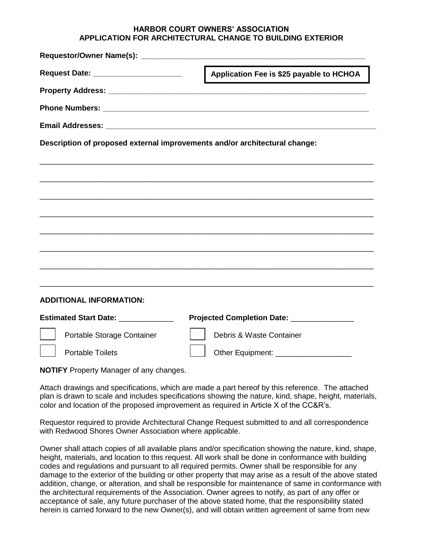## **HARBOR COURT OWNERS' ASSOCIATION APPLICATION FOR ARCHITECTURAL CHANGE TO BUILDING EXTERIOR**

| Request Date: ________________________                                     | Application Fee is \$25 payable to HCHOA   |
|----------------------------------------------------------------------------|--------------------------------------------|
|                                                                            |                                            |
|                                                                            |                                            |
|                                                                            |                                            |
| Description of proposed external improvements and/or architectural change: |                                            |
|                                                                            |                                            |
|                                                                            |                                            |
|                                                                            |                                            |
|                                                                            |                                            |
|                                                                            |                                            |
|                                                                            |                                            |
|                                                                            |                                            |
|                                                                            |                                            |
| <b>ADDITIONAL INFORMATION:</b>                                             |                                            |
| Estimated Start Date: _____________                                        | Projected Completion Date: _______________ |
| Portable Storage Container                                                 | Debris & Waste Container                   |
| <b>Portable Toilets</b>                                                    |                                            |

**NOTIFY** Property Manager of any changes.

Attach drawings and specifications, which are made a part hereof by this reference. The attached plan is drawn to scale and includes specifications showing the nature, kind, shape, height, materials, color and location of the proposed improvement as required in Article X of the CC&R's.

Requestor required to provide Architectural Change Request submitted to and all correspondence with Redwood Shores Owner Association where applicable.

Owner shall attach copies of all available plans and/or specification showing the nature, kind, shape, height, materials, and location to this request. All work shall be done in conformance with building codes and regulations and pursuant to all required permits. Owner shall be responsible for any damage to the exterior of the building or other property that may arise as a result of the above stated addition, change, or alteration, and shall be responsible for maintenance of same in conformance with the architectural requirements of the Association. Owner agrees to notify, as part of any offer or acceptance of sale, any future purchaser of the above stated home, that the responsibility stated herein is carried forward to the new Owner(s), and will obtain written agreement of same from new